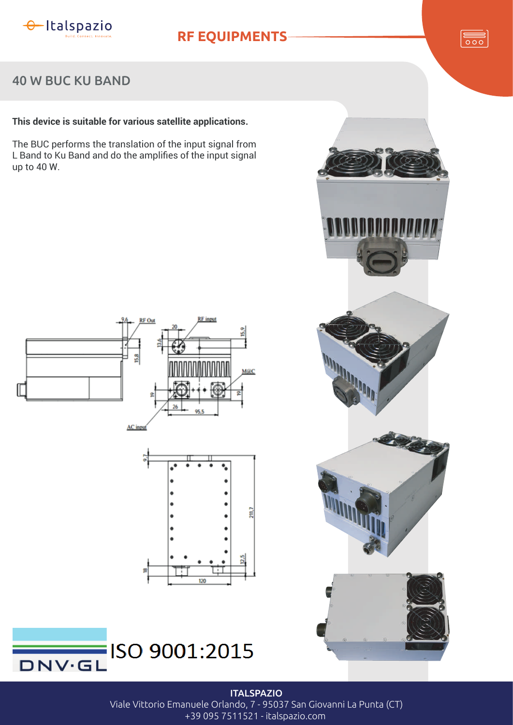

## **RF EQUIPMENTS**



### 40 W BUC KU BAND

### **This device is suitable for various satellite applications.**

The BUC performs the translation of the input signal from L Band to Ku Band and do the amplifies of the input signal up to 40 W.











**ITALSPAZIO** Viale Vittorio Emanuele Orlando, 7 - 95037 San Giovanni La Punta (CT) +39 095 7511521 - italspazio.com